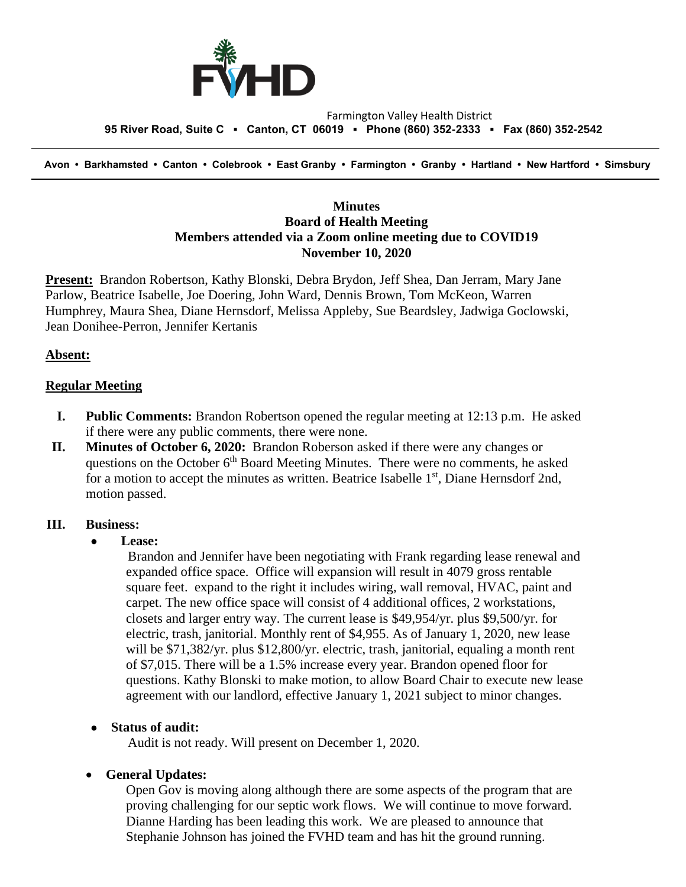

#### Farmington Valley Health District  **95 River Road, Suite C ▪ Canton, CT 06019 ▪ Phone (860) 352-2333 ▪ Fax (860) 352-2542**

 **Avon • Barkhamsted • Canton • Colebrook • East Granby • Farmington • Granby • Hartland • New Hartford • Simsbury**

## **Minutes Board of Health Meeting Members attended via a Zoom online meeting due to COVID19 November 10, 2020**

**Present:** Brandon Robertson, Kathy Blonski, Debra Brydon, Jeff Shea, Dan Jerram, Mary Jane Parlow, Beatrice Isabelle, Joe Doering, John Ward, Dennis Brown, Tom McKeon, Warren Humphrey, Maura Shea, Diane Hernsdorf, Melissa Appleby, Sue Beardsley, Jadwiga Goclowski, Jean Donihee-Perron, Jennifer Kertanis

## **Absent:**

### **Regular Meeting**

- **I. Public Comments:** Brandon Robertson opened the regular meeting at 12:13 p.m. He asked if there were any public comments, there were none.
- **II. Minutes of October 6, 2020:** Brandon Roberson asked if there were any changes or questions on the October  $6<sup>th</sup>$  Board Meeting Minutes. There were no comments, he asked for a motion to accept the minutes as written. Beatrice Isabelle 1<sup>st</sup>, Diane Hernsdorf 2nd, motion passed.

### **III. Business:**

• **Lease:**

Brandon and Jennifer have been negotiating with Frank regarding lease renewal and expanded office space. Office will expansion will result in 4079 gross rentable square feet. expand to the right it includes wiring, wall removal, HVAC, paint and carpet. The new office space will consist of 4 additional offices, 2 workstations, closets and larger entry way. The current lease is \$49,954/yr. plus \$9,500/yr. for electric, trash, janitorial. Monthly rent of \$4,955. As of January 1, 2020, new lease will be \$71,382/yr. plus \$12,800/yr. electric, trash, janitorial, equaling a month rent of \$7,015. There will be a 1.5% increase every year. Brandon opened floor for questions. Kathy Blonski to make motion, to allow Board Chair to execute new lease agreement with our landlord, effective January 1, 2021 subject to minor changes.

## • **Status of audit:**

Audit is not ready. Will present on December 1, 2020.

## • **General Updates:**

Open Gov is moving along although there are some aspects of the program that are proving challenging for our septic work flows. We will continue to move forward. Dianne Harding has been leading this work. We are pleased to announce that Stephanie Johnson has joined the FVHD team and has hit the ground running.